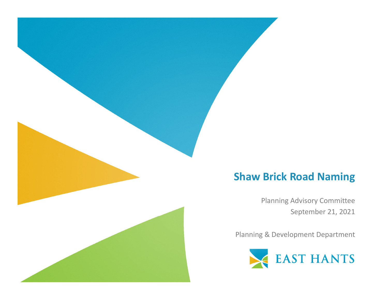## **Shaw Brick Road Naming**

Planning Advisory Committee September 21, 2021

Planning & Development Department

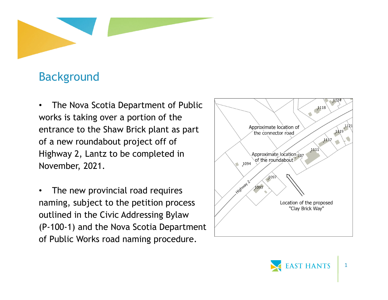

## Background

• The Nova Scotia Department of Public works is taking over a portion of the entrance to the Shaw Brick plant as part of a new roundabout project off of Highway 2, Lantz to be completed in November, 2021.

• The new provincial road requires naming, subject to the petition process outlined in the Civic Addressing Bylaw (P-100-1) and the Nova Scotia Department of Public Works road naming procedure.



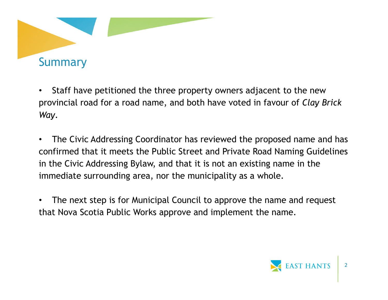

- $\bullet$  Staff have petitioned the three property owners adjacent to the new provincial road for a road name, and both have voted in favour of *Clay Brick Way*.
- $\bullet$  The Civic Addressing Coordinator has reviewed the proposed name and has confirmed that it meets the Public Street and Private Road Naming Guidelines in the Civic Addressing Bylaw, and that it is not an existing name in the immediate surrounding area, nor the municipality as a whole.
- • The next step is for Municipal Council to approve the name and request that Nova Scotia Public Works approve and implement the name.